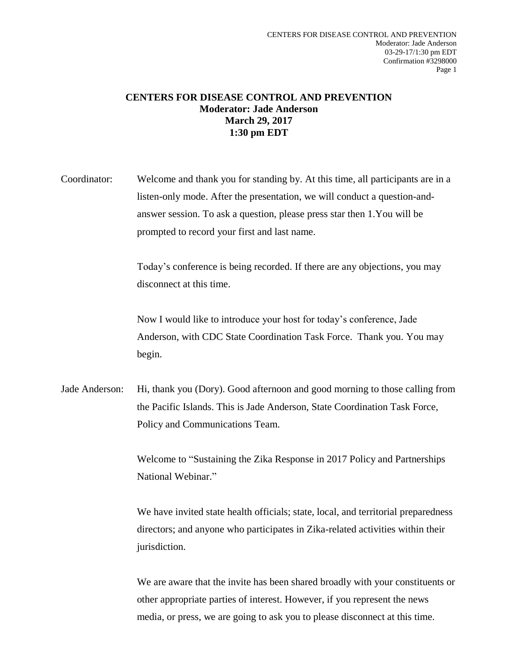## **CENTERS FOR DISEASE CONTROL AND PREVENTION Moderator: Jade Anderson March 29, 2017 1:30 pm EDT**

Coordinator: Welcome and thank you for standing by. At this time, all participants are in a listen-only mode. After the presentation, we will conduct a question-andanswer session. To ask a question, please press star then 1.You will be prompted to record your first and last name.

> Today's conference is being recorded. If there are any objections, you may disconnect at this time.

> Now I would like to introduce your host for today's conference, Jade Anderson, with CDC State Coordination Task Force. Thank you. You may begin.

Jade Anderson: Hi, thank you (Dory). Good afternoon and good morning to those calling from the Pacific Islands. This is Jade Anderson, State Coordination Task Force, Policy and Communications Team.

> Welcome to "Sustaining the Zika Response in 2017 Policy and Partnerships National Webinar."

We have invited state health officials; state, local, and territorial preparedness directors; and anyone who participates in Zika-related activities within their jurisdiction.

We are aware that the invite has been shared broadly with your constituents or other appropriate parties of interest. However, if you represent the news media, or press, we are going to ask you to please disconnect at this time.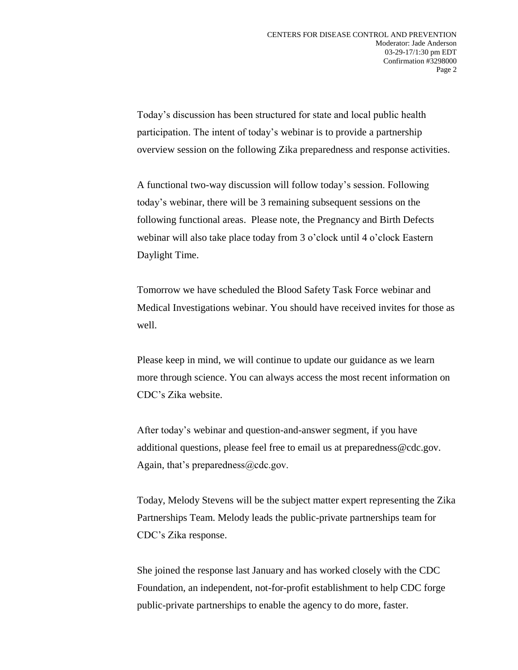Today's discussion has been structured for state and local public health participation. The intent of today's webinar is to provide a partnership overview session on the following Zika preparedness and response activities.

A functional two-way discussion will follow today's session. Following today's webinar, there will be 3 remaining subsequent sessions on the following functional areas. Please note, the Pregnancy and Birth Defects webinar will also take place today from 3 o'clock until 4 o'clock Eastern Daylight Time.

Tomorrow we have scheduled the Blood Safety Task Force webinar and Medical Investigations webinar. You should have received invites for those as well.

Please keep in mind, we will continue to update our guidance as we learn more through science. You can always access the most recent information on CDC's Zika website.

After today's webinar and question-and-answer segment, if you have additional questions, please feel free to email us at preparedness@cdc.gov. Again, that's preparedness  $@cdc.gov$ .

Today, Melody Stevens will be the subject matter expert representing the Zika Partnerships Team. Melody leads the public-private partnerships team for CDC's Zika response.

She joined the response last January and has worked closely with the CDC Foundation, an independent, not-for-profit establishment to help CDC forge public-private partnerships to enable the agency to do more, faster.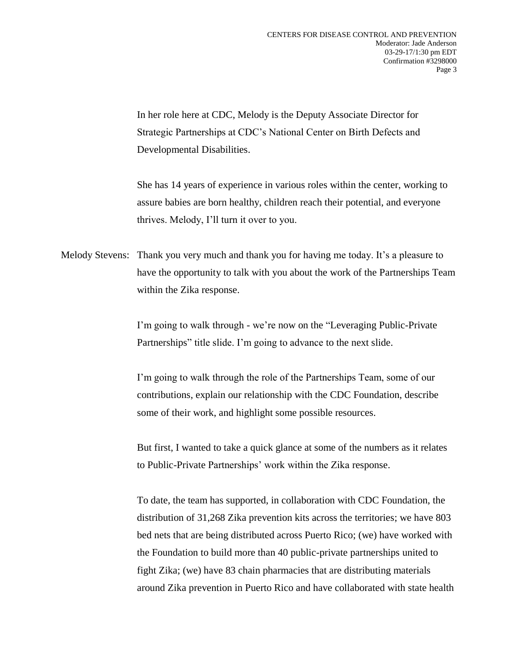In her role here at CDC, Melody is the Deputy Associate Director for Strategic Partnerships at CDC's National Center on Birth Defects and Developmental Disabilities.

She has 14 years of experience in various roles within the center, working to assure babies are born healthy, children reach their potential, and everyone thrives. Melody, I'll turn it over to you.

Melody Stevens: Thank you very much and thank you for having me today. It's a pleasure to have the opportunity to talk with you about the work of the Partnerships Team within the Zika response.

> I'm going to walk through - we're now on the "Leveraging Public-Private Partnerships" title slide. I'm going to advance to the next slide.

> I'm going to walk through the role of the Partnerships Team, some of our contributions, explain our relationship with the CDC Foundation, describe some of their work, and highlight some possible resources.

But first, I wanted to take a quick glance at some of the numbers as it relates to Public-Private Partnerships' work within the Zika response.

To date, the team has supported, in collaboration with CDC Foundation, the distribution of 31,268 Zika prevention kits across the territories; we have 803 bed nets that are being distributed across Puerto Rico; (we) have worked with the Foundation to build more than 40 public-private partnerships united to fight Zika; (we) have 83 chain pharmacies that are distributing materials around Zika prevention in Puerto Rico and have collaborated with state health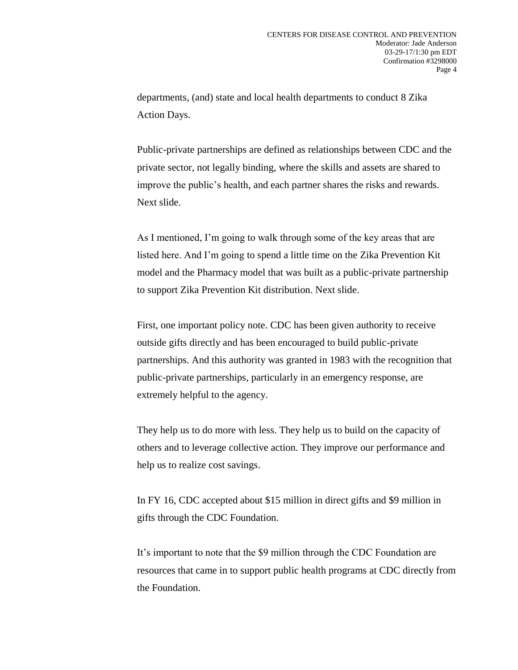departments, (and) state and local health departments to conduct 8 Zika Action Days.

Public-private partnerships are defined as relationships between CDC and the private sector, not legally binding, where the skills and assets are shared to improve the public's health, and each partner shares the risks and rewards. Next slide.

As I mentioned, I'm going to walk through some of the key areas that are listed here. And I'm going to spend a little time on the Zika Prevention Kit model and the Pharmacy model that was built as a public-private partnership to support Zika Prevention Kit distribution. Next slide.

First, one important policy note. CDC has been given authority to receive outside gifts directly and has been encouraged to build public-private partnerships. And this authority was granted in 1983 with the recognition that public-private partnerships, particularly in an emergency response, are extremely helpful to the agency.

They help us to do more with less. They help us to build on the capacity of others and to leverage collective action. They improve our performance and help us to realize cost savings.

In FY 16, CDC accepted about \$15 million in direct gifts and \$9 million in gifts through the CDC Foundation.

It's important to note that the \$9 million through the CDC Foundation are resources that came in to support public health programs at CDC directly from the Foundation.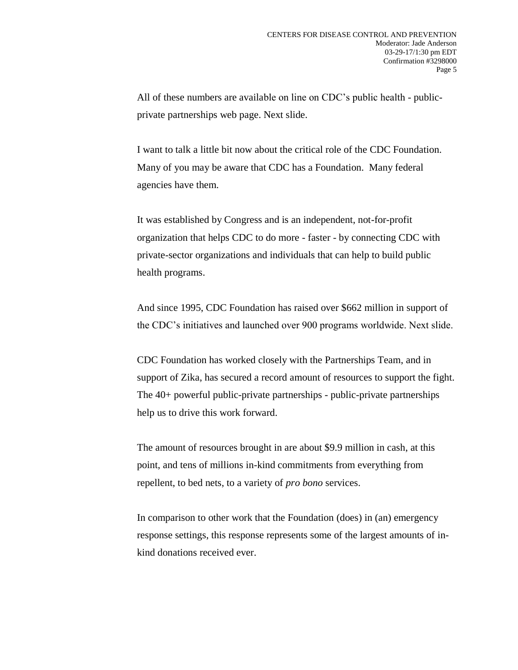All of these numbers are available on line on CDC's public health - publicprivate partnerships web page. Next slide.

I want to talk a little bit now about the critical role of the CDC Foundation. Many of you may be aware that CDC has a Foundation. Many federal agencies have them.

It was established by Congress and is an independent, not-for-profit organization that helps CDC to do more - faster - by connecting CDC with private-sector organizations and individuals that can help to build public health programs.

And since 1995, CDC Foundation has raised over \$662 million in support of the CDC's initiatives and launched over 900 programs worldwide. Next slide.

CDC Foundation has worked closely with the Partnerships Team, and in support of Zika, has secured a record amount of resources to support the fight. The 40+ powerful public-private partnerships - public-private partnerships help us to drive this work forward.

The amount of resources brought in are about \$9.9 million in cash, at this point, and tens of millions in-kind commitments from everything from repellent, to bed nets, to a variety of *pro bono* services.

In comparison to other work that the Foundation (does) in (an) emergency response settings, this response represents some of the largest amounts of inkind donations received ever.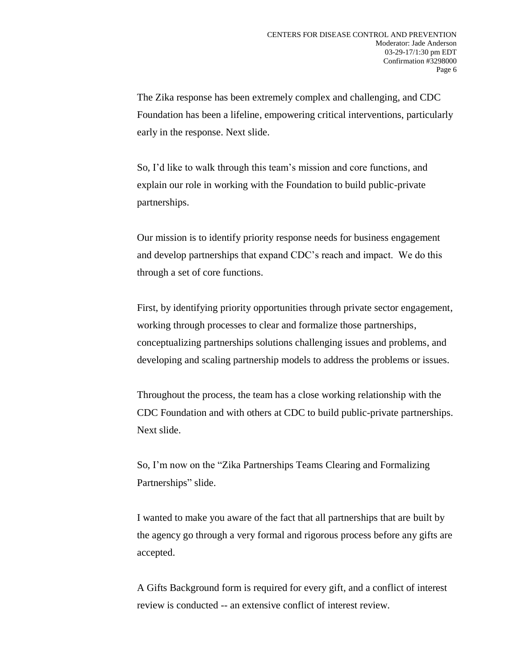The Zika response has been extremely complex and challenging, and CDC Foundation has been a lifeline, empowering critical interventions, particularly early in the response. Next slide.

So, I'd like to walk through this team's mission and core functions, and explain our role in working with the Foundation to build public-private partnerships.

Our mission is to identify priority response needs for business engagement and develop partnerships that expand CDC's reach and impact. We do this through a set of core functions.

First, by identifying priority opportunities through private sector engagement, working through processes to clear and formalize those partnerships, conceptualizing partnerships solutions challenging issues and problems, and developing and scaling partnership models to address the problems or issues.

Throughout the process, the team has a close working relationship with the CDC Foundation and with others at CDC to build public-private partnerships. Next slide.

So, I'm now on the "Zika Partnerships Teams Clearing and Formalizing Partnerships" slide.

I wanted to make you aware of the fact that all partnerships that are built by the agency go through a very formal and rigorous process before any gifts are accepted.

A Gifts Background form is required for every gift, and a conflict of interest review is conducted -- an extensive conflict of interest review.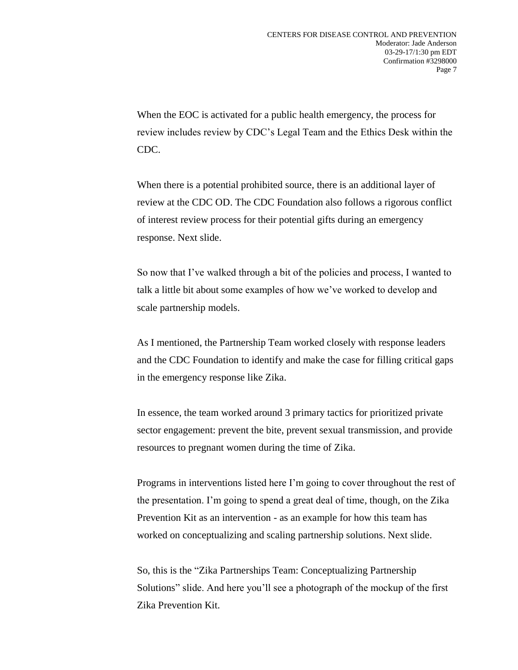When the EOC is activated for a public health emergency, the process for review includes review by CDC's Legal Team and the Ethics Desk within the CDC.

When there is a potential prohibited source, there is an additional layer of review at the CDC OD. The CDC Foundation also follows a rigorous conflict of interest review process for their potential gifts during an emergency response. Next slide.

So now that I've walked through a bit of the policies and process, I wanted to talk a little bit about some examples of how we've worked to develop and scale partnership models.

As I mentioned, the Partnership Team worked closely with response leaders and the CDC Foundation to identify and make the case for filling critical gaps in the emergency response like Zika.

In essence, the team worked around 3 primary tactics for prioritized private sector engagement: prevent the bite, prevent sexual transmission, and provide resources to pregnant women during the time of Zika.

Programs in interventions listed here I'm going to cover throughout the rest of the presentation. I'm going to spend a great deal of time, though, on the Zika Prevention Kit as an intervention - as an example for how this team has worked on conceptualizing and scaling partnership solutions. Next slide.

So, this is the "Zika Partnerships Team: Conceptualizing Partnership Solutions" slide. And here you'll see a photograph of the mockup of the first Zika Prevention Kit.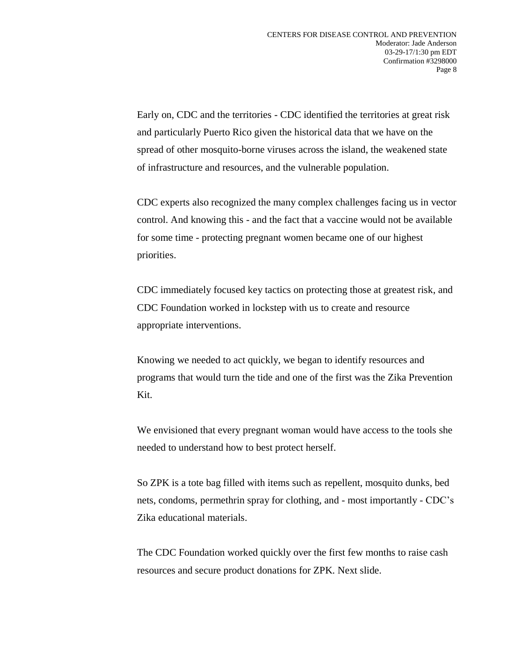Early on, CDC and the territories - CDC identified the territories at great risk and particularly Puerto Rico given the historical data that we have on the spread of other mosquito-borne viruses across the island, the weakened state of infrastructure and resources, and the vulnerable population.

CDC experts also recognized the many complex challenges facing us in vector control. And knowing this - and the fact that a vaccine would not be available for some time - protecting pregnant women became one of our highest priorities.

CDC immediately focused key tactics on protecting those at greatest risk, and CDC Foundation worked in lockstep with us to create and resource appropriate interventions.

Knowing we needed to act quickly, we began to identify resources and programs that would turn the tide and one of the first was the Zika Prevention Kit.

We envisioned that every pregnant woman would have access to the tools she needed to understand how to best protect herself.

So ZPK is a tote bag filled with items such as repellent, mosquito dunks, bed nets, condoms, permethrin spray for clothing, and - most importantly - CDC's Zika educational materials.

The CDC Foundation worked quickly over the first few months to raise cash resources and secure product donations for ZPK. Next slide.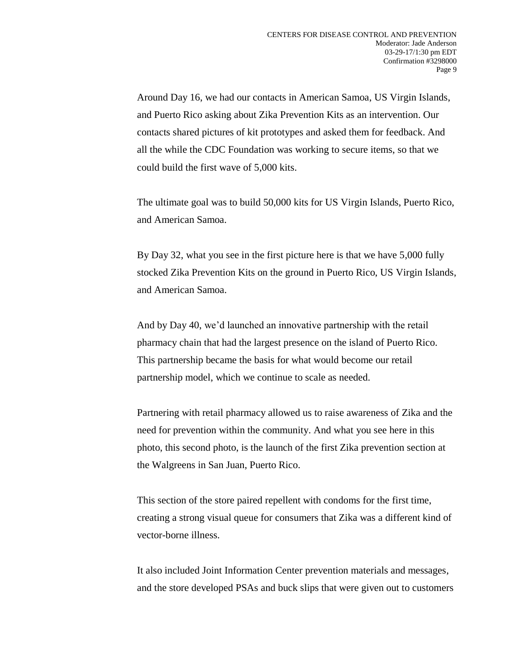Around Day 16, we had our contacts in American Samoa, US Virgin Islands, and Puerto Rico asking about Zika Prevention Kits as an intervention. Our contacts shared pictures of kit prototypes and asked them for feedback. And all the while the CDC Foundation was working to secure items, so that we could build the first wave of 5,000 kits.

The ultimate goal was to build 50,000 kits for US Virgin Islands, Puerto Rico, and American Samoa.

By Day 32, what you see in the first picture here is that we have 5,000 fully stocked Zika Prevention Kits on the ground in Puerto Rico, US Virgin Islands, and American Samoa.

And by Day 40, we'd launched an innovative partnership with the retail pharmacy chain that had the largest presence on the island of Puerto Rico. This partnership became the basis for what would become our retail partnership model, which we continue to scale as needed.

Partnering with retail pharmacy allowed us to raise awareness of Zika and the need for prevention within the community. And what you see here in this photo, this second photo, is the launch of the first Zika prevention section at the Walgreens in San Juan, Puerto Rico.

This section of the store paired repellent with condoms for the first time, creating a strong visual queue for consumers that Zika was a different kind of vector-borne illness.

It also included Joint Information Center prevention materials and messages, and the store developed PSAs and buck slips that were given out to customers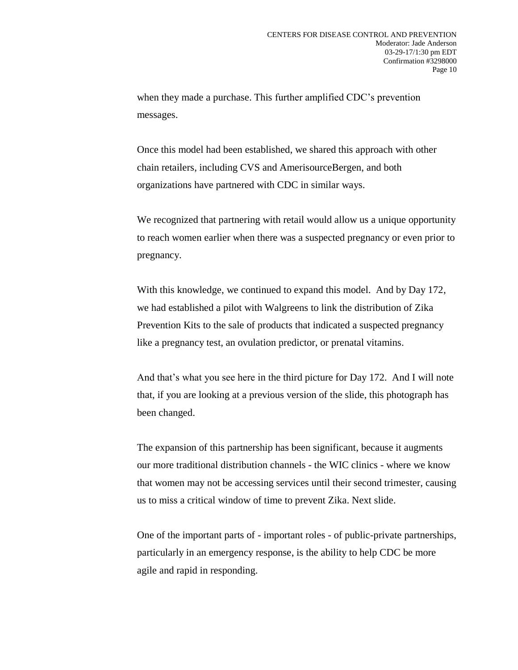when they made a purchase. This further amplified CDC's prevention messages.

Once this model had been established, we shared this approach with other chain retailers, including CVS and AmerisourceBergen, and both organizations have partnered with CDC in similar ways.

We recognized that partnering with retail would allow us a unique opportunity to reach women earlier when there was a suspected pregnancy or even prior to pregnancy.

With this knowledge, we continued to expand this model. And by Day 172, we had established a pilot with Walgreens to link the distribution of Zika Prevention Kits to the sale of products that indicated a suspected pregnancy like a pregnancy test, an ovulation predictor, or prenatal vitamins.

And that's what you see here in the third picture for Day 172. And I will note that, if you are looking at a previous version of the slide, this photograph has been changed.

The expansion of this partnership has been significant, because it augments our more traditional distribution channels - the WIC clinics - where we know that women may not be accessing services until their second trimester, causing us to miss a critical window of time to prevent Zika. Next slide.

One of the important parts of - important roles - of public-private partnerships, particularly in an emergency response, is the ability to help CDC be more agile and rapid in responding.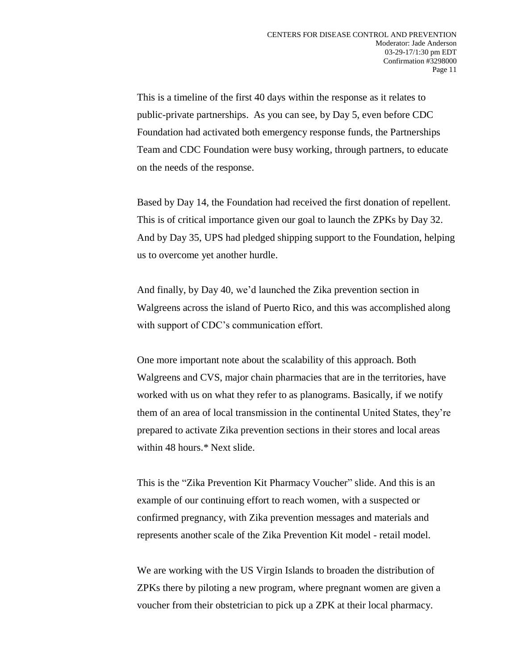This is a timeline of the first 40 days within the response as it relates to public-private partnerships. As you can see, by Day 5, even before CDC Foundation had activated both emergency response funds, the Partnerships Team and CDC Foundation were busy working, through partners, to educate on the needs of the response.

Based by Day 14, the Foundation had received the first donation of repellent. This is of critical importance given our goal to launch the ZPKs by Day 32. And by Day 35, UPS had pledged shipping support to the Foundation, helping us to overcome yet another hurdle.

And finally, by Day 40, we'd launched the Zika prevention section in Walgreens across the island of Puerto Rico, and this was accomplished along with support of CDC's communication effort.

One more important note about the scalability of this approach. Both Walgreens and CVS, major chain pharmacies that are in the territories, have worked with us on what they refer to as planograms. Basically, if we notify them of an area of local transmission in the continental United States, they're prepared to activate Zika prevention sections in their stores and local areas within 48 hours.\* Next slide.

This is the "Zika Prevention Kit Pharmacy Voucher" slide. And this is an example of our continuing effort to reach women, with a suspected or confirmed pregnancy, with Zika prevention messages and materials and represents another scale of the Zika Prevention Kit model - retail model.

We are working with the US Virgin Islands to broaden the distribution of ZPKs there by piloting a new program, where pregnant women are given a voucher from their obstetrician to pick up a ZPK at their local pharmacy.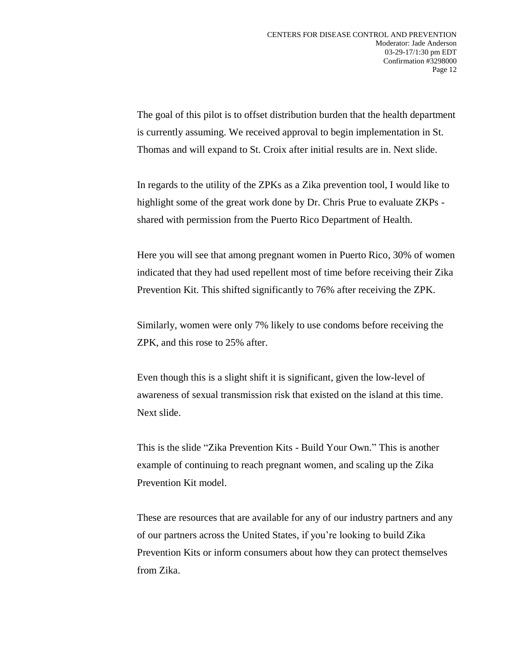The goal of this pilot is to offset distribution burden that the health department is currently assuming. We received approval to begin implementation in St. Thomas and will expand to St. Croix after initial results are in. Next slide.

In regards to the utility of the ZPKs as a Zika prevention tool, I would like to highlight some of the great work done by Dr. Chris Prue to evaluate ZKPs shared with permission from the Puerto Rico Department of Health.

Here you will see that among pregnant women in Puerto Rico, 30% of women indicated that they had used repellent most of time before receiving their Zika Prevention Kit. This shifted significantly to 76% after receiving the ZPK.

Similarly, women were only 7% likely to use condoms before receiving the ZPK, and this rose to 25% after.

Even though this is a slight shift it is significant, given the low-level of awareness of sexual transmission risk that existed on the island at this time. Next slide.

This is the slide "Zika Prevention Kits - Build Your Own." This is another example of continuing to reach pregnant women, and scaling up the Zika Prevention Kit model.

These are resources that are available for any of our industry partners and any of our partners across the United States, if you're looking to build Zika Prevention Kits or inform consumers about how they can protect themselves from Zika.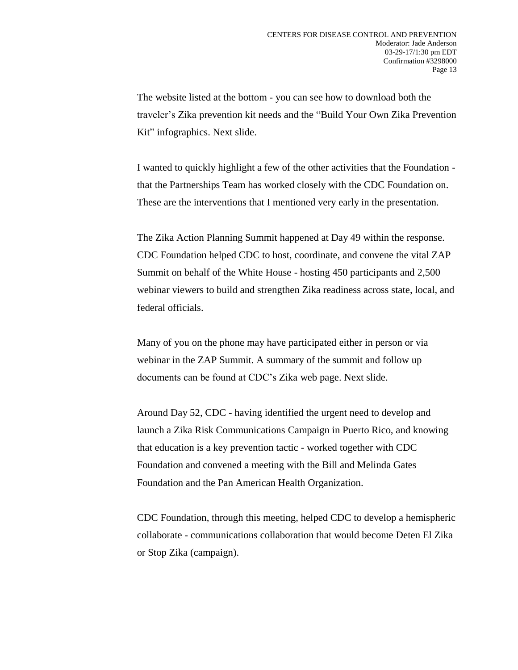The website listed at the bottom - you can see how to download both the traveler's Zika prevention kit needs and the "Build Your Own Zika Prevention Kit" infographics. Next slide.

I wanted to quickly highlight a few of the other activities that the Foundation that the Partnerships Team has worked closely with the CDC Foundation on. These are the interventions that I mentioned very early in the presentation.

The Zika Action Planning Summit happened at Day 49 within the response. CDC Foundation helped CDC to host, coordinate, and convene the vital ZAP Summit on behalf of the White House - hosting 450 participants and 2,500 webinar viewers to build and strengthen Zika readiness across state, local, and federal officials.

Many of you on the phone may have participated either in person or via webinar in the ZAP Summit. A summary of the summit and follow up documents can be found at CDC's Zika web page. Next slide.

Around Day 52, CDC - having identified the urgent need to develop and launch a Zika Risk Communications Campaign in Puerto Rico, and knowing that education is a key prevention tactic - worked together with CDC Foundation and convened a meeting with the Bill and Melinda Gates Foundation and the Pan American Health Organization.

CDC Foundation, through this meeting, helped CDC to develop a hemispheric collaborate - communications collaboration that would become Deten El Zika or Stop Zika (campaign).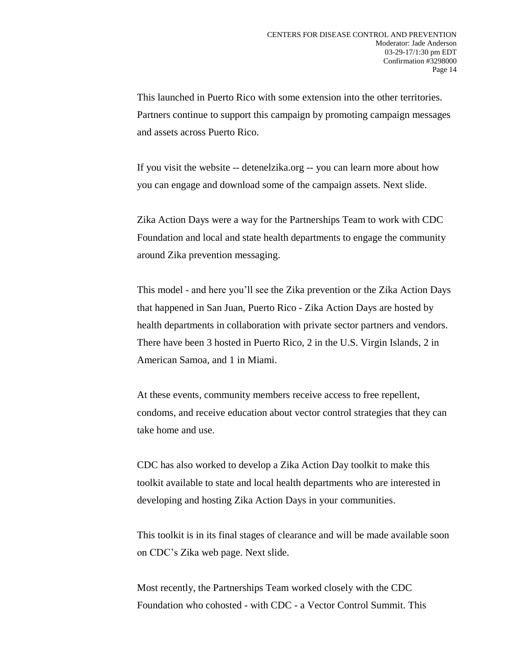This launched in Puerto Rico with some extension into the other territories. Partners continue to support this campaign by promoting campaign messages and assets across Puerto Rico.

If you visit the website -- detenelzika.org -- you can learn more about how you can engage and download some of the campaign assets. Next slide.

Zika Action Days were a way for the Partnerships Team to work with CDC Foundation and local and state health departments to engage the community around Zika prevention messaging.

This model - and here you'll see the Zika prevention or the Zika Action Days that happened in San Juan, Puerto Rico - Zika Action Days are hosted by health departments in collaboration with private sector partners and vendors. There have been 3 hosted in Puerto Rico, 2 in the U.S. Virgin Islands, 2 in American Samoa, and 1 in Miami.

At these events, community members receive access to free repellent, condoms, and receive education about vector control strategies that they can take home and use.

CDC has also worked to develop a Zika Action Day toolkit to make this toolkit available to state and local health departments who are interested in developing and hosting Zika Action Days in your communities.

This toolkit is in its final stages of clearance and will be made available soon on CDC's Zika web page. Next slide.

Most recently, the Partnerships Team worked closely with the CDC Foundation who cohosted - with CDC - a Vector Control Summit. This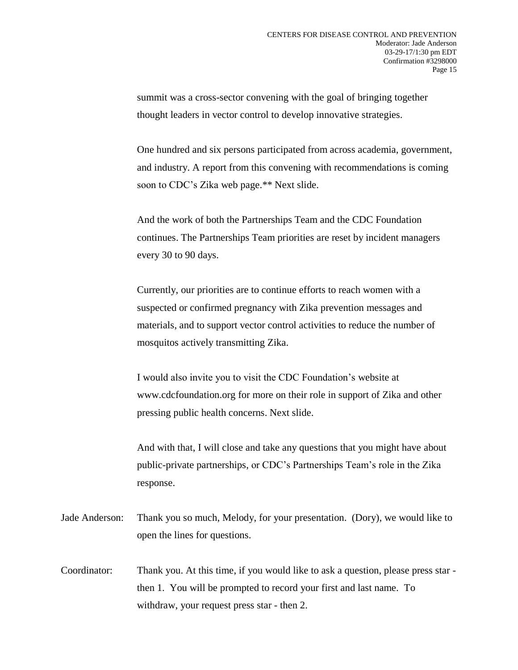summit was a cross-sector convening with the goal of bringing together thought leaders in vector control to develop innovative strategies.

One hundred and six persons participated from across academia, government, and industry. A report from this convening with recommendations is coming soon to CDC's Zika web page.\*\* Next slide.

And the work of both the Partnerships Team and the CDC Foundation continues. The Partnerships Team priorities are reset by incident managers every 30 to 90 days.

Currently, our priorities are to continue efforts to reach women with a suspected or confirmed pregnancy with Zika prevention messages and materials, and to support vector control activities to reduce the number of mosquitos actively transmitting Zika.

I would also invite you to visit the CDC Foundation's website at www.cdcfoundation.org for more on their role in support of Zika and other pressing public health concerns. Next slide.

And with that, I will close and take any questions that you might have about public-private partnerships, or CDC's Partnerships Team's role in the Zika response.

- Jade Anderson: Thank you so much, Melody, for your presentation. (Dory), we would like to open the lines for questions.
- Coordinator: Thank you. At this time, if you would like to ask a question, please press star then 1. You will be prompted to record your first and last name. To withdraw, your request press star - then 2.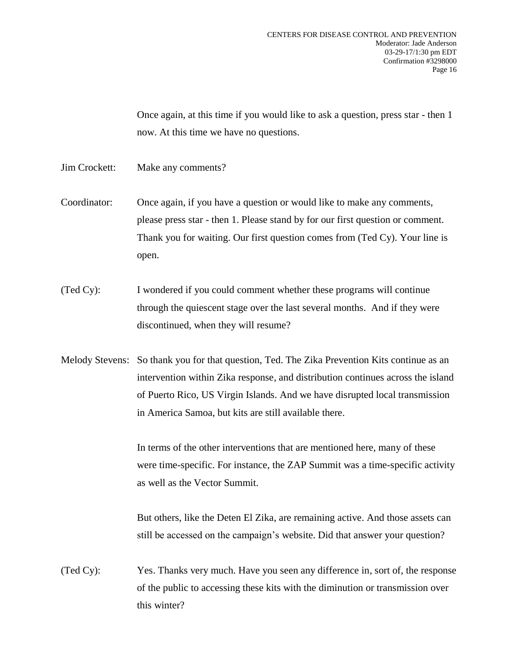Once again, at this time if you would like to ask a question, press star - then 1 now. At this time we have no questions.

- Jim Crockett: Make any comments?
- Coordinator: Once again, if you have a question or would like to make any comments, please press star - then 1. Please stand by for our first question or comment. Thank you for waiting. Our first question comes from (Ted Cy). Your line is open.
- (Ted Cy): I wondered if you could comment whether these programs will continue through the quiescent stage over the last several months. And if they were discontinued, when they will resume?
- Melody Stevens: So thank you for that question, Ted. The Zika Prevention Kits continue as an intervention within Zika response, and distribution continues across the island of Puerto Rico, US Virgin Islands. And we have disrupted local transmission in America Samoa, but kits are still available there.

In terms of the other interventions that are mentioned here, many of these were time-specific. For instance, the ZAP Summit was a time-specific activity as well as the Vector Summit.

But others, like the Deten El Zika, are remaining active. And those assets can still be accessed on the campaign's website. Did that answer your question?

(Ted Cy): Yes. Thanks very much. Have you seen any difference in, sort of, the response of the public to accessing these kits with the diminution or transmission over this winter?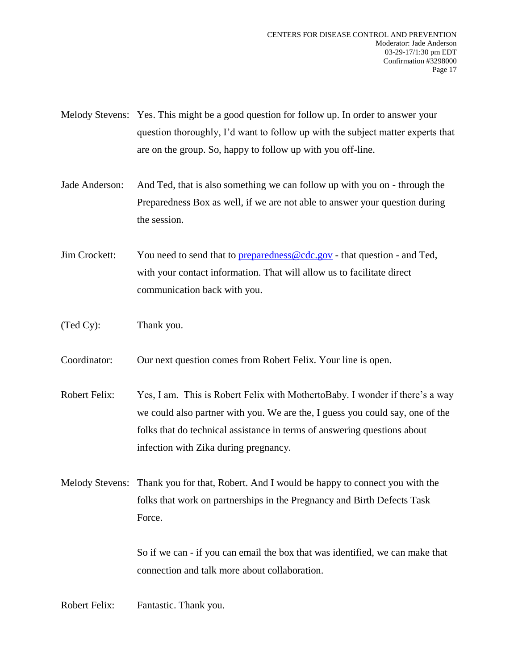Melody Stevens: Yes. This might be a good question for follow up. In order to answer your question thoroughly, I'd want to follow up with the subject matter experts that are on the group. So, happy to follow up with you off-line.

- Jade Anderson: And Ted, that is also something we can follow up with you on through the Preparedness Box as well, if we are not able to answer your question during the session.
- Jim Crockett: You need to send that to [preparedness@cdc.gov](mailto:preparedness@cdc.gov) that question and Ted, with your contact information. That will allow us to facilitate direct communication back with you.
- (Ted Cy): Thank you.
- Coordinator: Our next question comes from Robert Felix. Your line is open.
- Robert Felix: Yes, I am. This is Robert Felix with MothertoBaby. I wonder if there's a way we could also partner with you. We are the, I guess you could say, one of the folks that do technical assistance in terms of answering questions about infection with Zika during pregnancy.
- Melody Stevens: Thank you for that, Robert. And I would be happy to connect you with the folks that work on partnerships in the Pregnancy and Birth Defects Task Force.

So if we can - if you can email the box that was identified, we can make that connection and talk more about collaboration.

Robert Felix: Fantastic. Thank you.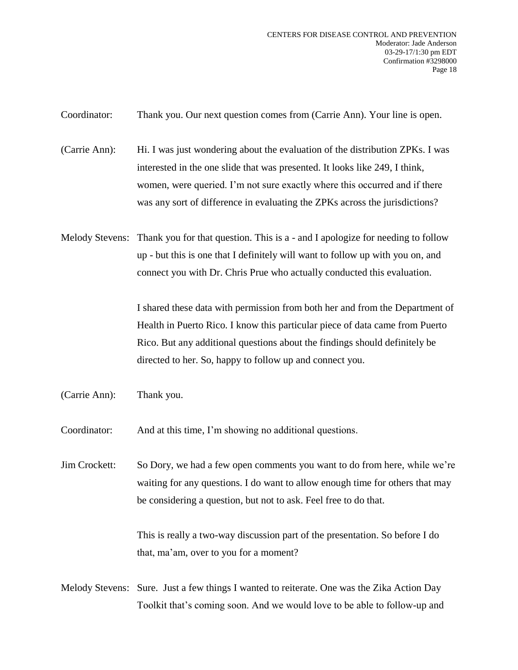Coordinator: Thank you. Our next question comes from (Carrie Ann). Your line is open.

(Carrie Ann): Hi. I was just wondering about the evaluation of the distribution ZPKs. I was interested in the one slide that was presented. It looks like 249, I think, women, were queried. I'm not sure exactly where this occurred and if there was any sort of difference in evaluating the ZPKs across the jurisdictions?

Melody Stevens: Thank you for that question. This is a - and I apologize for needing to follow up - but this is one that I definitely will want to follow up with you on, and connect you with Dr. Chris Prue who actually conducted this evaluation.

> I shared these data with permission from both her and from the Department of Health in Puerto Rico. I know this particular piece of data came from Puerto Rico. But any additional questions about the findings should definitely be directed to her. So, happy to follow up and connect you.

(Carrie Ann): Thank you.

Coordinator: And at this time, I'm showing no additional questions.

Jim Crockett: So Dory, we had a few open comments you want to do from here, while we're waiting for any questions. I do want to allow enough time for others that may be considering a question, but not to ask. Feel free to do that.

> This is really a two-way discussion part of the presentation. So before I do that, ma'am, over to you for a moment?

Melody Stevens: Sure. Just a few things I wanted to reiterate. One was the Zika Action Day Toolkit that's coming soon. And we would love to be able to follow-up and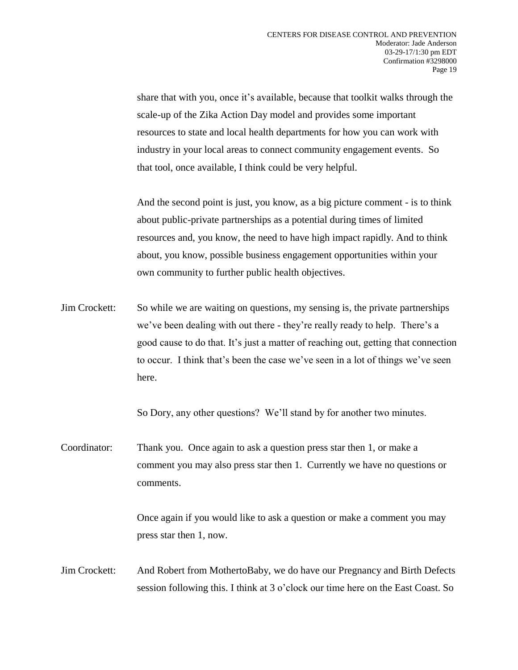share that with you, once it's available, because that toolkit walks through the scale-up of the Zika Action Day model and provides some important resources to state and local health departments for how you can work with industry in your local areas to connect community engagement events. So that tool, once available, I think could be very helpful.

And the second point is just, you know, as a big picture comment - is to think about public-private partnerships as a potential during times of limited resources and, you know, the need to have high impact rapidly. And to think about, you know, possible business engagement opportunities within your own community to further public health objectives.

Jim Crockett: So while we are waiting on questions, my sensing is, the private partnerships we've been dealing with out there - they're really ready to help. There's a good cause to do that. It's just a matter of reaching out, getting that connection to occur. I think that's been the case we've seen in a lot of things we've seen here.

So Dory, any other questions? We'll stand by for another two minutes.

Coordinator: Thank you. Once again to ask a question press star then 1, or make a comment you may also press star then 1. Currently we have no questions or comments.

> Once again if you would like to ask a question or make a comment you may press star then 1, now.

Jim Crockett: And Robert from MothertoBaby, we do have our Pregnancy and Birth Defects session following this. I think at 3 o'clock our time here on the East Coast. So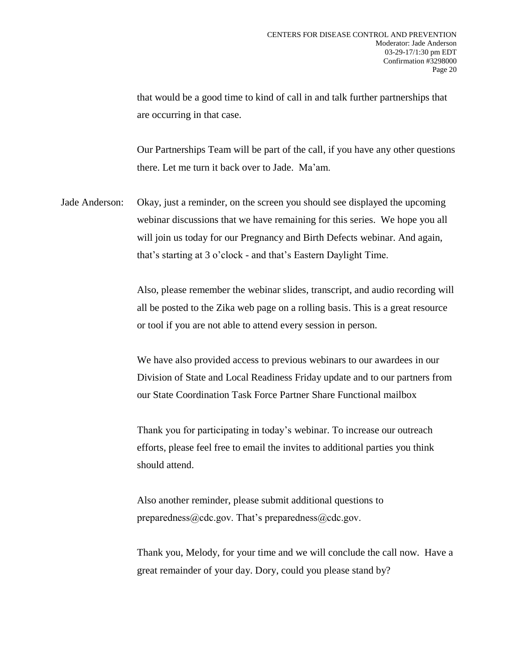that would be a good time to kind of call in and talk further partnerships that are occurring in that case.

Our Partnerships Team will be part of the call, if you have any other questions there. Let me turn it back over to Jade. Ma'am.

Jade Anderson: Okay, just a reminder, on the screen you should see displayed the upcoming webinar discussions that we have remaining for this series. We hope you all will join us today for our Pregnancy and Birth Defects webinar. And again, that's starting at 3 o'clock - and that's Eastern Daylight Time.

> Also, please remember the webinar slides, transcript, and audio recording will all be posted to the Zika web page on a rolling basis. This is a great resource or tool if you are not able to attend every session in person.

> We have also provided access to previous webinars to our awardees in our Division of State and Local Readiness Friday update and to our partners from our State Coordination Task Force Partner Share Functional mailbox

Thank you for participating in today's webinar. To increase our outreach efforts, please feel free to email the invites to additional parties you think should attend.

Also another reminder, please submit additional questions to preparedness@cdc.gov. That's preparedness@cdc.gov.

Thank you, Melody, for your time and we will conclude the call now. Have a great remainder of your day. Dory, could you please stand by?